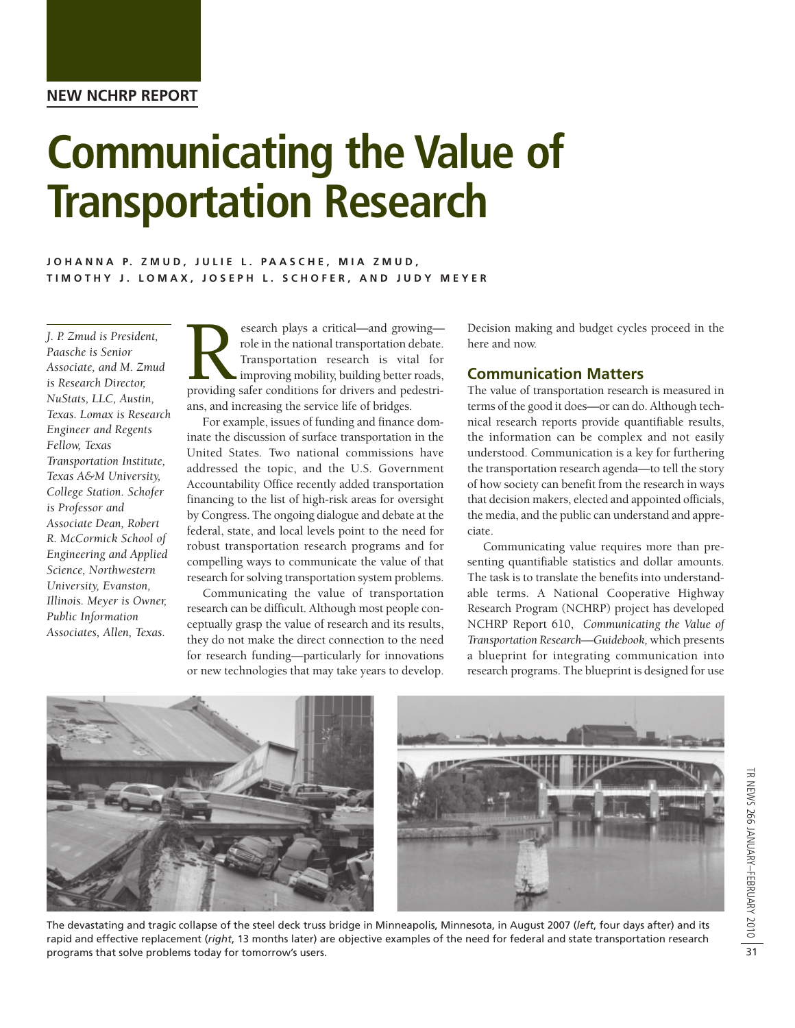**NEW NCHRP REPORT**

# **Communicating the Value of Transportation Research**

## JOHANNA P. ZMUD, JULIE L. PAASCHE, MIA ZMUD, **TIMOTHY J. LOMAX, JOSEPH L. SCHOFER, AND JUDY MEYER**

*J. P. Zmud is President, Paasche is Senior Associate, and M. Zmud is Research Director, NuStats, LLC, Austin, Texas. Lomax is Research Engineer and Regents Fellow, Texas Transportation Institute, Texas A&M University, College Station. Schofer is Professor and Associate Dean, Robert R. McCormick School of Engineering and Applied Science, Northwestern University, Evanston, Illinois. Meyer is Owner, Public Information Associates, Allen, Texas.*

esearch plays a critical—and growing—<br>providing in the national transportation debate.<br>Transportation research is vital for<br>improving mobility, building better roads,<br>providing safer conditions for drivers and pedestrirole in the national transportation debate. Transportation research is vital for improving mobility, building better roads, ans, and increasing the service life of bridges.

For example, issues of funding and finance dominate the discussion of surface transportation in the United States. Two national commissions have addressed the topic, and the U.S. Government Accountability Office recently added transportation financing to the list of high-risk areas for oversight by Congress. The ongoing dialogue and debate at the federal, state, and local levels point to the need for robust transportation research programs and for compelling ways to communicate the value of that research for solving transportation system problems.

Communicating the value of transportation research can be difficult. Although most people conceptually grasp the value of research and its results, they do not make the direct connection to the need for research funding—particularly for innovations or new technologies that may take years to develop.

Decision making and budget cycles proceed in the here and now.

## **Communication Matters**

The value of transportation research is measured in terms of the good it does—or can do. Although technical research reports provide quantifiable results, the information can be complex and not easily understood. Communication is a key for furthering the transportation research agenda—to tell the story of how society can benefit from the research in ways that decision makers, elected and appointed officials, the media, and the public can understand and appreciate.

Communicating value requires more than presenting quantifiable statistics and dollar amounts. The task is to translate the benefits into understandable terms. A National Cooperative Highway Research Program (NCHRP) project has developed NCHRP Report 610, *Communicating the Value of Transportation Research—Guidebook,* which presents a blueprint for integrating communication into research programs. The blueprint is designed for use



The devastating and tragic collapse of the steel deck truss bridge in Minneapolis, Minnesota, in August 2007 (*left*, four days after) and its rapid and effective replacement (*right*, 13 months later) are objective examples of the need for federal and state transportation research programs that solve problems today for tomorrow's users.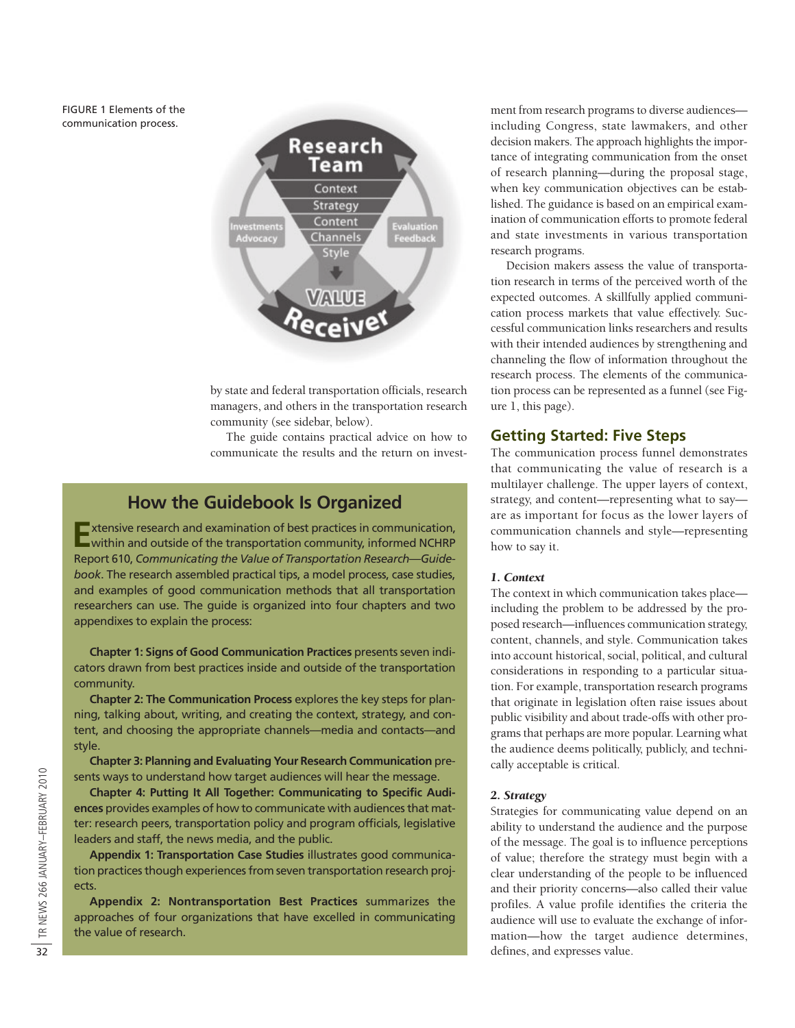FIGURE 1 Elements of the communication process.



by state and federal transportation officials, research managers, and others in the transportation research community (see sidebar, below).

The guide contains practical advice on how to communicate the results and the return on invest-

## **How the Guidebook Is Organized**

**E**xtensive research and examination of best practices in communication, within and outside of the transportation community, informed NCHRP Report 610, *Communicating the Value of Transportation Research—Guidebook*. The research assembled practical tips, a model process, case studies, and examples of good communication methods that all transportation researchers can use. The guide is organized into four chapters and two appendixes to explain the process:

**Chapter 1: Signs of Good Communication Practices** presents seven indicators drawn from best practices inside and outside of the transportation community.

**Chapter 2: The Communication Process** explores the key steps for planning, talking about, writing, and creating the context, strategy, and content, and choosing the appropriate channels—media and contacts—and style.

**Chapter 3: Planning and Evaluating Your Research Communication** presents ways to understand how target audiences will hear the message.

32<br>
Sents ways to understand how target audiences will hear the message.<br>
Chapter 4: Putting It All Together: Communicating to Specific Audi-<br>  $\frac{32}{2}$ <br>  $\frac{32}{2}$ <br>
ences provides examples of how to communicate with aud **Chapter 4: Putting It All Together: Communicating to Specific Audiences** provides examples of how to communicate with audiences that matter: research peers, transportation policy and program officials, legislative leaders and staff, the news media, and the public.

**Appendix 1: Transportation Case Studies** illustrates good communication practices though experiences from seven transportation research projects.

**Appendix 2: Nontransportation Best Practices** summarizes the approaches of four organizations that have excelled in communicating the value of research.

ment from research programs to diverse audiences including Congress, state lawmakers, and other decision makers. The approach highlights the importance of integrating communication from the onset of research planning—during the proposal stage, when key communication objectives can be established. The guidance is based on an empirical examination of communication efforts to promote federal and state investments in various transportation research programs.

Decision makers assess the value of transportation research in terms of the perceived worth of the expected outcomes. A skillfully applied communication process markets that value effectively. Successful communication links researchers and results with their intended audiences by strengthening and channeling the flow of information throughout the research process. The elements of the communication process can be represented as a funnel (see Figure 1, this page).

## **Getting Started: Five Steps**

The communication process funnel demonstrates that communicating the value of research is a multilayer challenge. The upper layers of context, strategy, and content—representing what to say are as important for focus as the lower layers of communication channels and style—representing how to say it.

## *1. Context*

The context in which communication takes place including the problem to be addressed by the proposed research—influences communication strategy, content, channels, and style. Communication takes into account historical, social, political, and cultural considerations in responding to a particular situation. For example, transportation research programs that originate in legislation often raise issues about public visibility and about trade-offs with other programs that perhaps are more popular. Learning what the audience deems politically, publicly, and technically acceptable is critical.

#### *2. Strategy*

Strategies for communicating value depend on an ability to understand the audience and the purpose of the message. The goal is to influence perceptions of value; therefore the strategy must begin with a clear understanding of the people to be influenced and their priority concerns—also called their value profiles. A value profile identifies the criteria the audience will use to evaluate the exchange of information—how the target audience determines,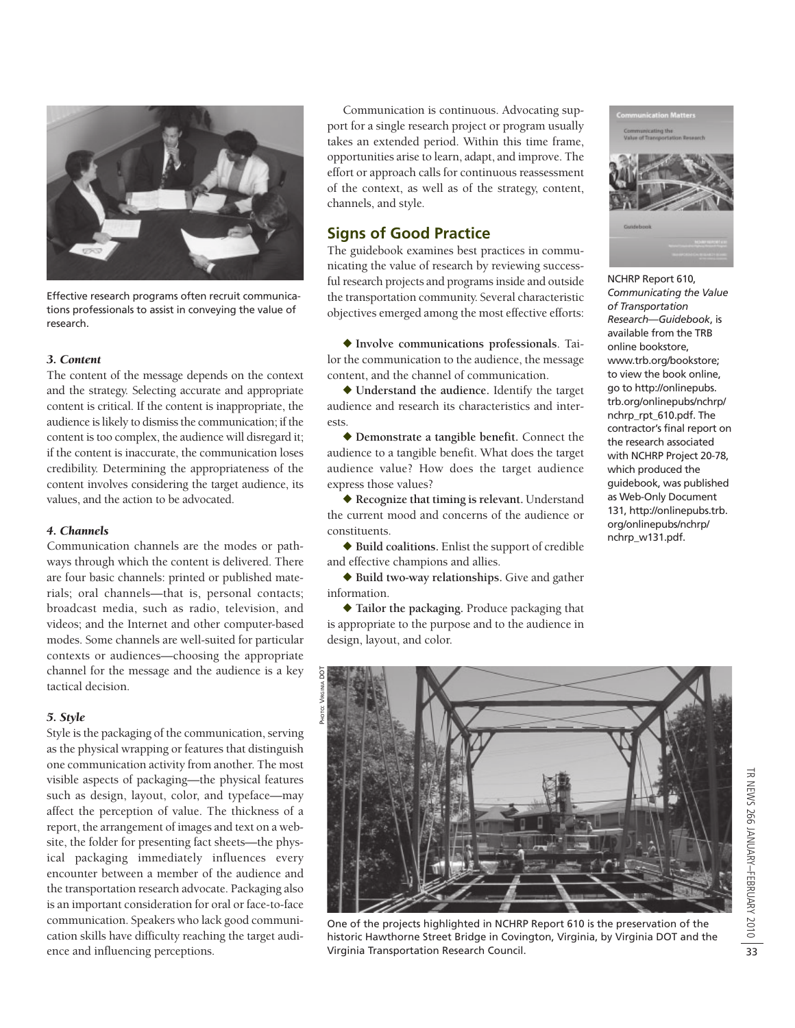

Effective research programs often recruit communications professionals to assist in conveying the value of research.

#### *3. Content*

The content of the message depends on the context and the strategy. Selecting accurate and appropriate content is critical. If the content is inappropriate, the audience is likely to dismiss the communication; if the content is too complex, the audience will disregard it; if the content is inaccurate, the communication loses credibility. Determining the appropriateness of the content involves considering the target audience, its values, and the action to be advocated.

#### *4. Channels*

Communication channels are the modes or pathways through which the content is delivered. There are four basic channels: printed or published materials; oral channels—that is, personal contacts; broadcast media, such as radio, television, and videos; and the Internet and other computer-based modes. Some channels are well-suited for particular contexts or audiences—choosing the appropriate channel for the message and the audience is a key tactical decision.

#### *5. Style*

Style is the packaging of the communication, serving as the physical wrapping or features that distinguish one communication activity from another. The most visible aspects of packaging—the physical features such as design, layout, color, and typeface—may affect the perception of value. The thickness of a report, the arrangement of images and text on a website, the folder for presenting fact sheets—the physical packaging immediately influences every encounter between a member of the audience and the transportation research advocate. Packaging also is an important consideration for oral or face-to-face communication. Speakers who lack good communication skills have difficulty reaching the target audience and influencing perceptions.

Communication is continuous. Advocating support for a single research project or program usually takes an extended period. Within this time frame, opportunities arise to learn, adapt, and improve. The effort or approach calls for continuous reassessment of the context, as well as of the strategy, content, channels, and style*.*

## **Signs of Good Practice**

The guidebook examines best practices in communicating the value of research by reviewing successful research projects and programs inside and outside the transportation community. Several characteristic objectives emerged among the most effective efforts:

u **Involve communications professionals**. Tailor the communication to the audience, the message content, and the channel of communication.

◆ Understand the audience. Identify the target audience and research its characteristics and interests.

u **Demonstrate a tangible benefit.** Connect the audience to a tangible benefit. What does the target audience value? How does the target audience express those values?

◆ Recognize that timing is relevant. Understand the current mood and concerns of the audience or constituents.

◆ Build coalitions. Enlist the support of credible and effective champions and allies.

◆ Build two-way relationships. Give and gather information.

◆ Tailor the packaging. Produce packaging that is appropriate to the purpose and to the audience in design, layout, and color.



NCHRP Report 610, *Communicating the Value of Transportation Research—Guidebook*, is available from the TRB online bookstore, www.trb.org/bookstore; to view the book online, go to http://onlinepubs. trb.org/onlinepubs/nchrp/ nchrp\_rpt\_610.pdf. The contractor's final report on the research associated with NCHRP Project 20-78, which produced the guidebook, was published as Web-Only Document 131, http://onlinepubs.trb. org/onlinepubs/nchrp/ nchrp\_w131.pdf.



One of the projects highlighted in NCHRP Report 610 is the preservation of the historic Hawthorne Street Bridge in Covington, Virginia, by Virginia DOT and the Virginia Transportation Research Council.